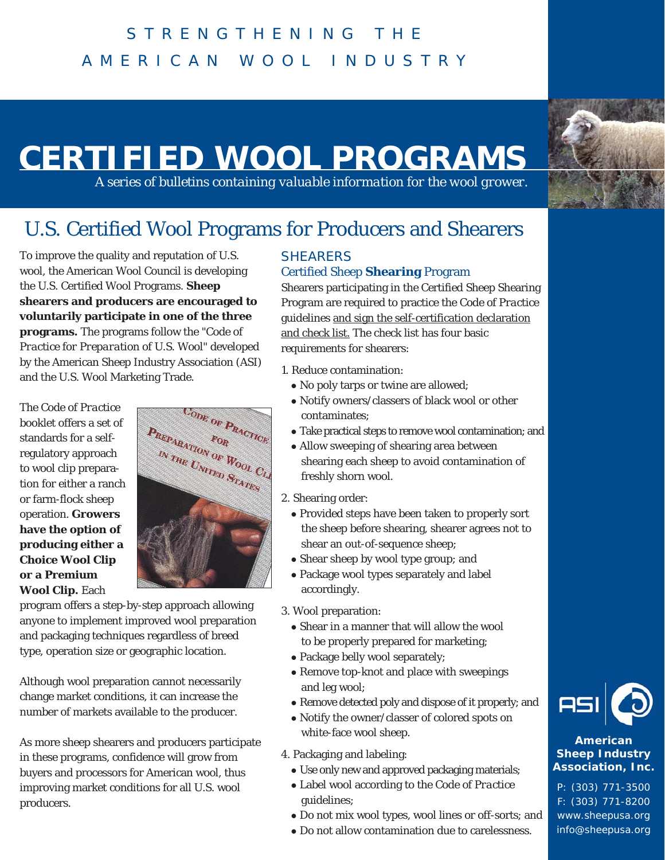# **CERTIFIED WOOL PROGRAMS**

*A series of bulletins containing valuable information for the wool grower.*

# U.S. Certified Wool Programs for Producers and Shearers

To improve the quality and reputation of U.S. wool, the American Wool Council is developing the U.S. Certified Wool Programs. **Sheep shearers and producers are encouraged to voluntarily participate in one of the three programs.** The programs follow the *"Code of Practice for Preparation of U.S. Wool"* developed by the American Sheep Industry Association (ASI) and the U.S. Wool Marketing Trade.

The *Code of Practice* booklet offers a set of standards for a selfregulatory approach to wool clip preparation for either a ranch or farm-flock sheep operation. **Growers have the option of producing either a Choice Wool Clip or a Premium Wool Clip.** Each



program offers a step-by-step approach allowing anyone to implement improved wool preparation and packaging techniques regardless of breed type, operation size or geographic location.

Although wool preparation cannot necessarily change market conditions, it can increase the number of markets available to the producer.

As more sheep shearers and producers participate in these programs, confidence will grow from buyers and processors for American wool, thus improving market conditions for all U.S. wool producers.

### **SHEARERS**

### Certified Sheep **Shearing** Program

Shearers participating in the Certified Sheep Shearing Program are required to practice the *Code of Practice* guidelines and sign the self-certification declaration and check list. The check list has four basic requirements for shearers:

- 1. Reduce contamination:
	- No poly tarps or twine are allowed;
	- Notify owners/classers of black wool or other contaminates;
	- Take practical steps to remove wool contamination; and
	- Allow sweeping of shearing area between shearing each sheep to avoid contamination of freshly shorn wool.

2. Shearing order:

- Provided steps have been taken to properly sort the sheep before shearing, shearer agrees not to shear an out-of-sequence sheep;
- Shear sheep by wool type group; and
- Package wool types separately and label accordingly.
- 3. Wool preparation:
	- Shear in a manner that will allow the wool to be properly prepared for marketing;
	- Package belly wool separately;
	- Remove top-knot and place with sweepings and leg wool;
	- Remove detected poly and dispose of it properly; and
	- Notify the owner/classer of colored spots on white-face wool sheep.
- 4. Packaging and labeling:
	- Use only new and approved packaging materials;
	- Label wool according to the *Code of Practice* guidelines;
	- $\bullet$  Do not mix wool types, wool lines or off-sorts; and
	- $\bullet$  Do not allow contamination due to carelessness.



#### **American Sheep Industry Association, Inc.**

P: (303) 771-3500 F: (303) 771-8200 www.sheepusa.org info@sheepusa.org